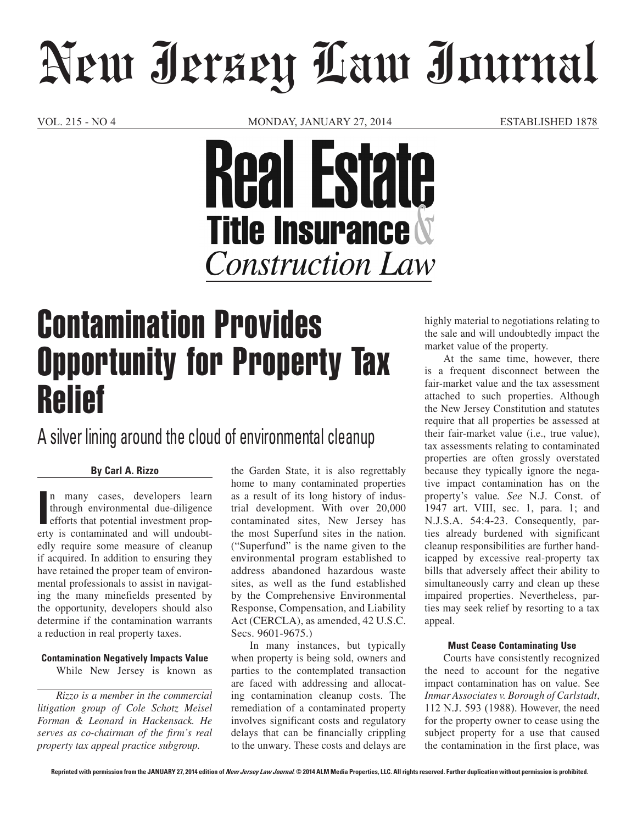# New Jersey Law Journal

VOL. 215 - NO 4 MONDAY, JANUARY 27, 2014 ESTABLISHED 1878



# Contamination Provides Opportunity for Property Tax Relief

A silver lining around the cloud of environmental cleanup

# **By Carl A. Rizzo**

In many cases, developers learn<br>through environmental due-diligence<br>efforts that potential investment prop-<br>erty is contaminated and will undoubtn many cases, developers learn through environmental due-diligence efforts that potential investment propedly require some measure of cleanup if acquired. In addition to ensuring they have retained the proper team of environmental professionals to assist in navigating the many minefields presented by the opportunity, developers should also determine if the contamination warrants a reduction in real property taxes.

# **Contamination Negatively Impacts Value**

While New Jersey is known as

*Rizzo is a member in the commercial litigation group of Cole Schotz Meisel Forman & Leonard in Hackensack. He serves as co-chairman of the firm's real property tax appeal practice subgroup.*

the Garden State, it is also regrettably home to many contaminated properties as a result of its long history of industrial development. With over 20,000 contaminated sites, New Jersey has the most Superfund sites in the nation. ("Superfund" is the name given to the environmental program established to address abandoned hazardous waste sites, as well as the fund established by the Comprehensive Environmental Response, Compensation, and Liability Act (CERCLA), as amended, 42 U.S.C. Secs. 9601-9675.)

In many instances, but typically when property is being sold, owners and parties to the contemplated transaction are faced with addressing and allocating contamination cleanup costs. The remediation of a contaminated property involves significant costs and regulatory delays that can be financially crippling to the unwary. These costs and delays are highly material to negotiations relating to the sale and will undoubtedly impact the market value of the property.

At the same time, however, there is a frequent disconnect between the fair-market value and the tax assessment attached to such properties. Although the New Jersey Constitution and statutes require that all properties be assessed at their fair-market value (i.e., true value), tax assessments relating to contaminated properties are often grossly overstated because they typically ignore the negative impact contamination has on the property's value*. See* N.J. Const. of 1947 art. VIII, sec. 1, para. 1; and N.J.S.A. 54:4-23. Consequently, parties already burdened with significant cleanup responsibilities are further handicapped by excessive real-property tax bills that adversely affect their ability to simultaneously carry and clean up these impaired properties. Nevertheless, parties may seek relief by resorting to a tax appeal.

### **Must Cease Contaminating Use**

Courts have consistently recognized the need to account for the negative impact contamination has on value. See *Inmar Associates v. Borough of Carlstadt*, 112 N.J. 593 (1988). However, the need for the property owner to cease using the subject property for a use that caused the contamination in the first place, was

**Reprinted with permission from the JANUARY 27, 2014 edition of New Jersey Law Journal. © 2014 ALM Media Properties, LLC. All rights reserved. Further duplication without permission is prohibited.**